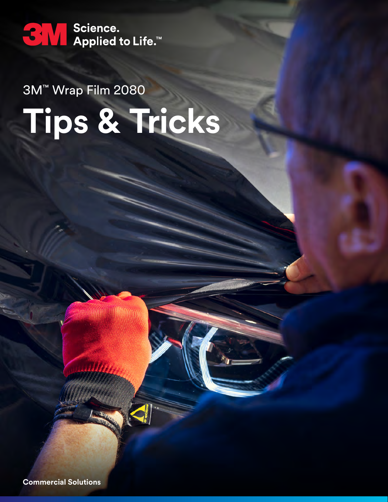

**Tips & Tricks** 3M™ Wrap Film 2080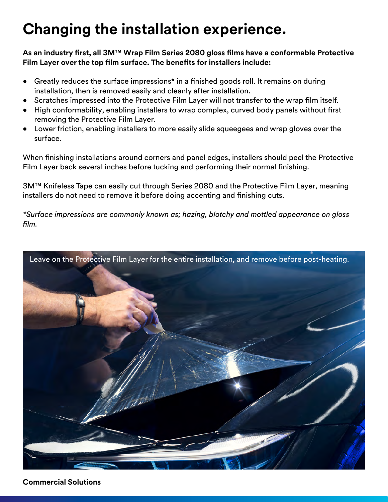## **Changing the installation experience.**

**As an industry first, all 3M™ Wrap Film Series 2080 gloss films have a conformable Protective Film Layer over the top film surface. The benefits for installers include:**

- Greatly reduces the surface impressions\* in a finished goods roll. It remains on during installation, then is removed easily and cleanly after installation.
- Scratches impressed into the Protective Film Layer will not transfer to the wrap film itself.
- High conformability, enabling installers to wrap complex, curved body panels without first removing the Protective Film Layer.
- Lower friction, enabling installers to more easily slide squeegees and wrap gloves over the surface.

When finishing installations around corners and panel edges, installers should peel the Protective Film Layer back several inches before tucking and performing their normal finishing.

3M™ Knifeless Tape can easily cut through Series 2080 and the Protective Film Layer, meaning installers do not need to remove it before doing accenting and finishing cuts.

*\*Surface impressions are commonly known as; hazing, blotchy and mottled appearance on gloss film.*